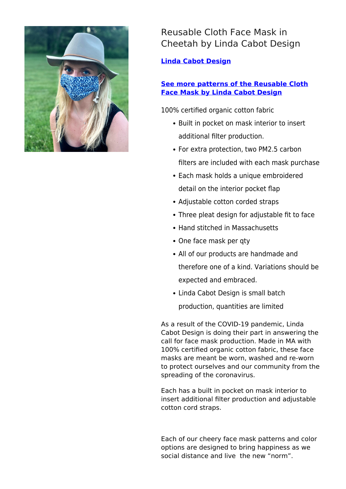

## Reusable Cloth Face Mask in Cheetah by Linda Cabot Design

**[Linda Cabot Design](https://designtrade.net/store/linda-cabot-design/)**

## **[See more patterns of the Reusable Cloth](https://lindacabotdesign.com/product/reusable-cloth-facemask/) [Face Mask by Linda Cabot Design](https://lindacabotdesign.com/product/reusable-cloth-facemask/)**

100% certified organic cotton fabric

- Built in pocket on mask interior to insert additional filter production.
- For extra protection, two PM2.5 carbon filters are included with each mask purchase
- Each mask holds a unique embroidered detail on the interior pocket flap
- Adjustable cotton corded straps
- Three pleat design for adjustable fit to face
- Hand stitched in Massachusetts
- One face mask per gty
- All of our products are handmade and therefore one of a kind. Variations should be expected and embraced.
- Linda Cabot Design is small batch production, quantities are limited

As a result of the COVID-19 pandemic, Linda Cabot Design is doing their part in answering the call for face mask production. Made in MA with 100% certified organic cotton fabric, these face masks are meant be worn, washed and re-worn to protect ourselves and our community from the spreading of the coronavirus.

Each has a built in pocket on mask interior to insert additional filter production and adjustable cotton cord straps.

Each of our cheery face mask patterns and color options are designed to bring happiness as we social distance and live the new "norm".